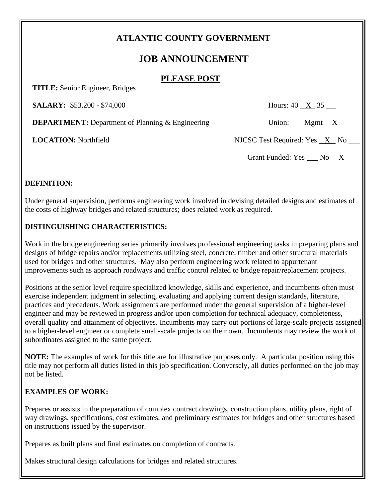# **ATLANTIC COUNTY GOVERNMENT**

# **JOB ANNOUNCEMENT**

### **PLEASE POST**

 **TITLE:** Senior Engineer, Bridges

**SALARY:** \$53,200 - \$74,000 Hours: 40 X 35

**DEPARTMENT:** Department of Planning & Engineering Union: Mgmt X

 **LOCATION:** Northfield NJCSC Test Required: Yes X No \_\_\_

Grant Funded:  $Yes$   $No$   $X$ 

### **DEFINITION:**

Under general supervision, performs engineering work involved in devising detailed designs and estimates of the costs of highway bridges and related structures; does related work as required.

### **DISTINGUISHING CHARACTERISTICS:**

Work in the bridge engineering series primarily involves professional engineering tasks in preparing plans and designs of bridge repairs and/or replacements utilizing steel, concrete, timber and other structural materials used for bridges and other structures. May also perform engineering work related to appurtenant improvements such as approach roadways and traffic control related to bridge repair/replacement projects.

Positions at the senior level require specialized knowledge, skills and experience, and incumbents often must exercise independent judgment in selecting, evaluating and applying current design standards, literature, practices and precedents. Work assignments are performed under the general supervision of a higher-level engineer and may be reviewed in progress and/or upon completion for technical adequacy, completeness, overall quality and attainment of objectives. Incumbents may carry out portions of large-scale projects assigned to a higher-level engineer or complete small-scale projects on their own. Incumbents may review the work of subordinates assigned to the same project.

**NOTE:** The examples of work for this title are for illustrative purposes only. A particular position using this title may not perform all duties listed in this job specification. Conversely, all duties performed on the job may not be listed.

# **EXAMPLES OF WORK:**

Prepares or assists in the preparation of complex contract drawings, construction plans, utility plans, right of way drawings, specifications, cost estimates, and preliminary estimates for bridges and other structures based on instructions issued by the supervisor.

Prepares as built plans and final estimates on completion of contracts.

Makes structural design calculations for bridges and related structures.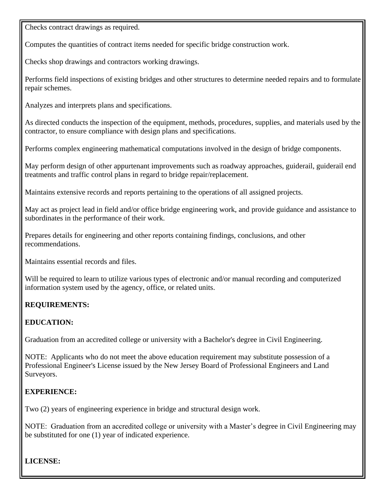Checks contract drawings as required.

Computes the quantities of contract items needed for specific bridge construction work.

Checks shop drawings and contractors working drawings.

Performs field inspections of existing bridges and other structures to determine needed repairs and to formulate repair schemes.

Analyzes and interprets plans and specifications.

As directed conducts the inspection of the equipment, methods, procedures, supplies, and materials used by the contractor, to ensure compliance with design plans and specifications.

Performs complex engineering mathematical computations involved in the design of bridge components.

May perform design of other appurtenant improvements such as roadway approaches, guiderail, guiderail end treatments and traffic control plans in regard to bridge repair/replacement.

Maintains extensive records and reports pertaining to the operations of all assigned projects.

May act as project lead in field and/or office bridge engineering work, and provide guidance and assistance to subordinates in the performance of their work.

Prepares details for engineering and other reports containing findings, conclusions, and other recommendations.

Maintains essential records and files.

Will be required to learn to utilize various types of electronic and/or manual recording and computerized information system used by the agency, office, or related units.

#### **REQUIREMENTS:**

#### **EDUCATION:**

Graduation from an accredited college or university with a Bachelor's degree in Civil Engineering.

NOTE: Applicants who do not meet the above education requirement may substitute possession of a Professional Engineer's License issued by the New Jersey Board of Professional Engineers and Land Surveyors.

### **EXPERIENCE:**

Two (2) years of engineering experience in bridge and structural design work.

NOTE: Graduation from an accredited college or university with a Master's degree in Civil Engineering may be substituted for one (1) year of indicated experience.

**LICENSE:**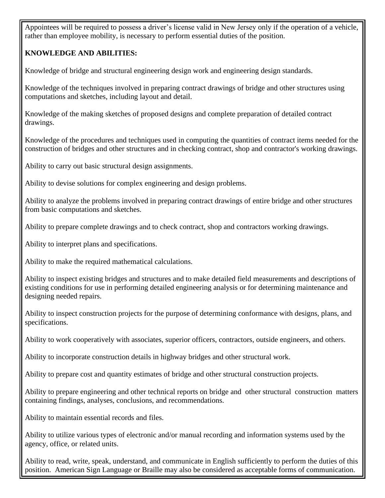Appointees will be required to possess a driver's license valid in New Jersey only if the operation of a vehicle, rather than employee mobility, is necessary to perform essential duties of the position.

### **KNOWLEDGE AND ABILITIES:**

Knowledge of bridge and structural engineering design work and engineering design standards.

Knowledge of the techniques involved in preparing contract drawings of bridge and other structures using computations and sketches, including layout and detail.

Knowledge of the making sketches of proposed designs and complete preparation of detailed contract drawings.

Knowledge of the procedures and techniques used in computing the quantities of contract items needed for the construction of bridges and other structures and in checking contract, shop and contractor's working drawings.

Ability to carry out basic structural design assignments.

Ability to devise solutions for complex engineering and design problems.

Ability to analyze the problems involved in preparing contract drawings of entire bridge and other structures from basic computations and sketches.

Ability to prepare complete drawings and to check contract, shop and contractors working drawings.

Ability to interpret plans and specifications.

Ability to make the required mathematical calculations.

Ability to inspect existing bridges and structures and to make detailed field measurements and descriptions of existing conditions for use in performing detailed engineering analysis or for determining maintenance and designing needed repairs.

Ability to inspect construction projects for the purpose of determining conformance with designs, plans, and specifications.

Ability to work cooperatively with associates, superior officers, contractors, outside engineers, and others.

Ability to incorporate construction details in highway bridges and other structural work.

Ability to prepare cost and quantity estimates of bridge and other structural construction projects.

Ability to prepare engineering and other technical reports on bridge and other structural construction matters containing findings, analyses, conclusions, and recommendations.

Ability to maintain essential records and files.

Ability to utilize various types of electronic and/or manual recording and information systems used by the agency, office, or related units.

Ability to read, write, speak, understand, and communicate in English sufficiently to perform the duties of this position. American Sign Language or Braille may also be considered as acceptable forms of communication.